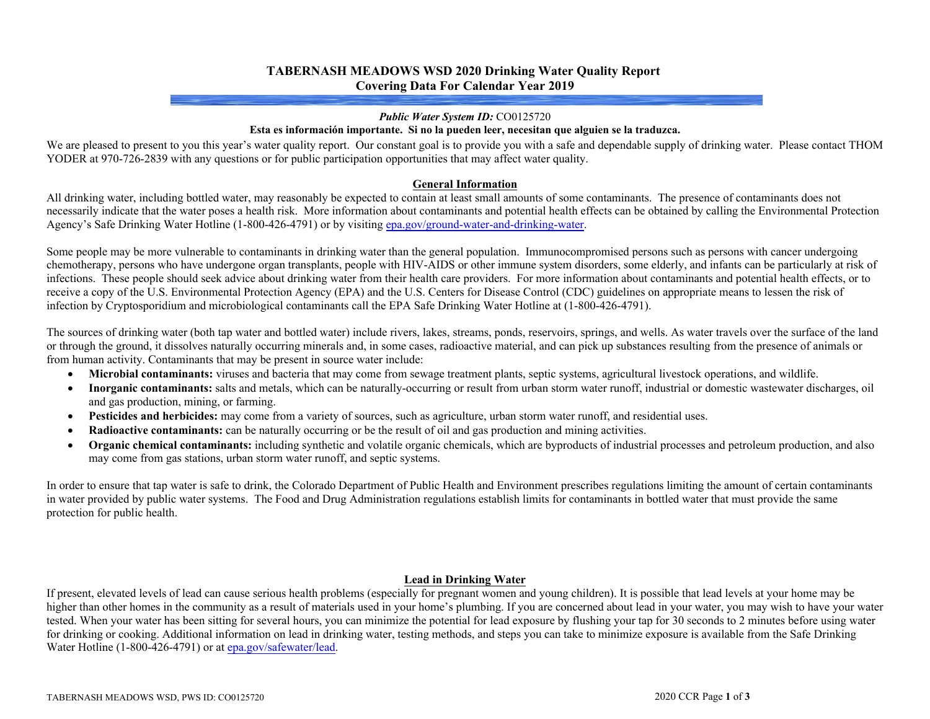## **TABERNASH MEADOWS WSD 2020 Drinking Water Quality Report Covering Data For Calendar Year 2019**

#### *Public Water System ID:* CO0125720

#### **Esta es información importante. Si no la pueden leer, necesitan que alguien se la traduzca.**

We are pleased to present to you this year's water quality report. Our constant goal is to provide you with a safe and dependable supply of drinking water. Please contact THOM YODER at 970-726-2839 with any questions or for public participation opportunities that may affect water quality.

#### **General Information**

All drinking water, including bottled water, may reasonably be expected to contain at least small amounts of some contaminants. The presence of contaminants does not necessarily indicate that the water poses a health risk. More information about contaminants and potential health effects can be obtained by calling the Environmental Protection Agency's Safe Drinking Water Hotline (1-800-426-4791) or by visiting [epa.gov/ground-water-and-drinking-water](https://www.epa.gov/ground-water-and-drinking-water).

Some people may be more vulnerable to contaminants in drinking water than the general population. Immunocompromised persons such as persons with cancer undergoing chemotherapy, persons who have undergone organ transplants, people with HIV-AIDS or other immune system disorders, some elderly, and infants can be particularly at risk of infections. These people should seek advice about drinking water from their health care providers. For more information about contaminants and potential health effects, or to receive a copy of the U.S. Environmental Protection Agency (EPA) and the U.S. Centers for Disease Control (CDC) guidelines on appropriate means to lessen the risk of infection by Cryptosporidium and microbiological contaminants call the EPA Safe Drinking Water Hotline at (1-800-426-4791).

The sources of drinking water (both tap water and bottled water) include rivers, lakes, streams, ponds, reservoirs, springs, and wells. As water travels over the surface of the land or through the ground, it dissolves naturally occurring minerals and, in some cases, radioactive material, and can pick up substances resulting from the presence of animals or from human activity. Contaminants that may be present in source water include:

- **Microbial contaminants:** viruses and bacteria that may come from sewage treatment plants, septic systems, agricultural livestock operations, and wildlife.
- **Inorganic contaminants:** salts and metals, which can be naturally-occurring or result from urban storm water runoff, industrial or domestic wastewater discharges, oil and gas production, mining, or farming.
- **Pesticides and herbicides:** may come from a variety of sources, such as agriculture, urban storm water runoff, and residential uses.
- **Radioactive contaminants:** can be naturally occurring or be the result of oil and gas production and mining activities.
- **Organic chemical contaminants:** including synthetic and volatile organic chemicals, which are byproducts of industrial processes and petroleum production, and also may come from gas stations, urban storm water runoff, and septic systems.

In order to ensure that tap water is safe to drink, the Colorado Department of Public Health and Environment prescribes regulations limiting the amount of certain contaminants in water provided by public water systems. The Food and Drug Administration regulations establish limits for contaminants in bottled water that must provide the same protection for public health.

### **Lead in Drinking Water**

If present, elevated levels of lead can cause serious health problems (especially for pregnant women and young children). It is possible that lead levels at your home may be higher than other homes in the community as a result of materials used in your home's plumbing. If you are concerned about lead in your water, you may wish to have your water tested. When your water has been sitting for several hours, you can minimize the potential for lead exposure by flushing your tap for 30 seconds to 2 minutes before using water for drinking or cooking. Additional information on lead in drinking water, testing methods, and steps you can take to minimize exposure is available from the Safe Drinking Water Hotline (1-800-426-4791) or at [epa.gov/safewater/lead.](http://www.epa.gov/safewater/lead)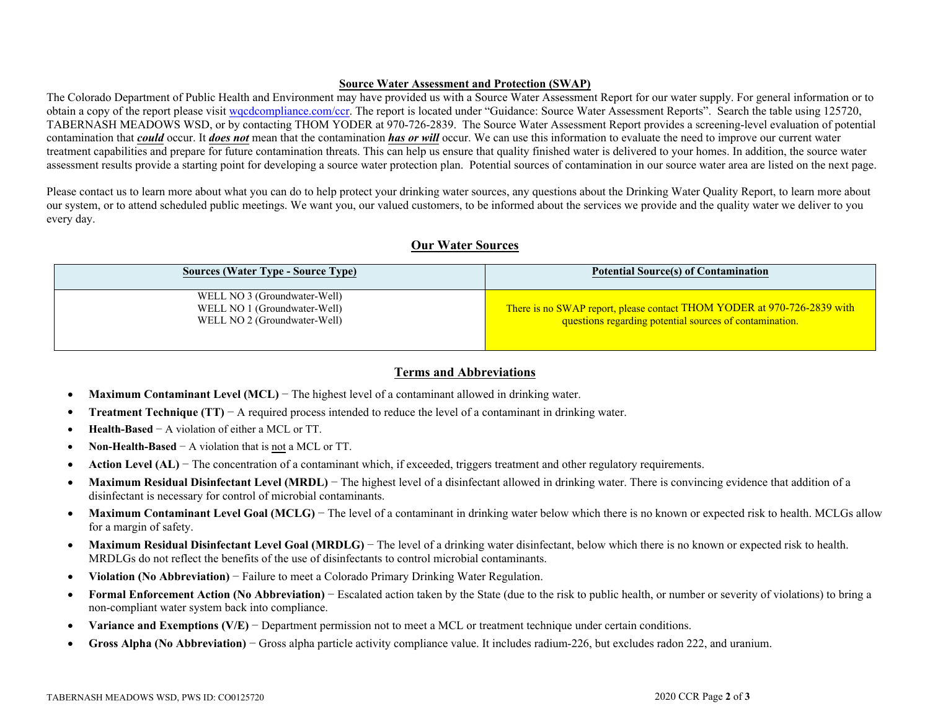### **Source Water Assessment and Protection (SWAP)**

The Colorado Department of Public Health and Environment may have provided us with a Source Water Assessment Report for our water supply. For general information or to obtain a copy of the report please visit wgcdcompliance.com/ccr. The report is located under "Guidance: Source Water Assessment Reports". Search the table using 125720, TABERNASH MEADOWS WSD, or by contacting THOM YODER at 970-726-2839. The Source Water Assessment Report provides a screening-level evaluation of potential contamination that *could* occur. It *does not* mean that the contamination *has or will* occur. We can use this information to evaluate the need to improve our current water treatment capabilities and prepare for future contamination threats. This can help us ensure that quality finished water is delivered to your homes. In addition, the source water assessment results provide a starting point for developing a source water protection plan. Potential sources of contamination in our source water area are listed on the next page.

Please contact us to learn more about what you can do to help protect your drinking water sources, any questions about the Drinking Water Quality Report, to learn more about our system, or to attend scheduled public meetings. We want you, our valued customers, to be informed about the services we provide and the quality water we deliver to you every day.

## **Our Water Sources**

| <b>Sources (Water Type - Source Type)</b>                                                    | <b>Potential Source(s) of Contamination</b>                                                                                        |
|----------------------------------------------------------------------------------------------|------------------------------------------------------------------------------------------------------------------------------------|
| WELL NO 3 (Groundwater-Well)<br>WELL NO 1 (Groundwater-Well)<br>WELL NO 2 (Groundwater-Well) | There is no SWAP report, please contact THOM YODER at 970-726-2839 with<br>questions regarding potential sources of contamination. |

## **Terms and Abbreviations**

- **Maximum Contaminant Level (MCL)** − The highest level of a contaminant allowed in drinking water.
- **Treatment Technique (TT)** − A required process intended to reduce the level of a contaminant in drinking water.
- **Health-Based** − A violation of either a MCL or TT.
- **Non-Health-Based** − A violation that is not a MCL or TT.
- **Action Level (AL)** − The concentration of a contaminant which, if exceeded, triggers treatment and other regulatory requirements.
- **Maximum Residual Disinfectant Level (MRDL)** The highest level of a disinfectant allowed in drinking water. There is convincing evidence that addition of a disinfectant is necessary for control of microbial contaminants.
- Maximum Contaminant Level Goal (MCLG) The level of a contaminant in drinking water below which there is no known or expected risk to health. MCLGs allow for a margin of safety.
- **Maximum Residual Disinfectant Level Goal (MRDLG)** The level of a drinking water disinfectant, below which there is no known or expected risk to health. MRDLGs do not reflect the benefits of the use of disinfectants to control microbial contaminants.
- **Violation (No Abbreviation)** − Failure to meet a Colorado Primary Drinking Water Regulation.
- **Formal Enforcement Action (No Abbreviation)** − Escalated action taken by the State (due to the risk to public health, or number or severity of violations) to bring a non-compliant water system back into compliance.
- **Variance and Exemptions (V/E)** − Department permission not to meet a MCL or treatment technique under certain conditions.
- **Gross Alpha (No Abbreviation)** − Gross alpha particle activity compliance value. It includes radium-226, but excludes radon 222, and uranium.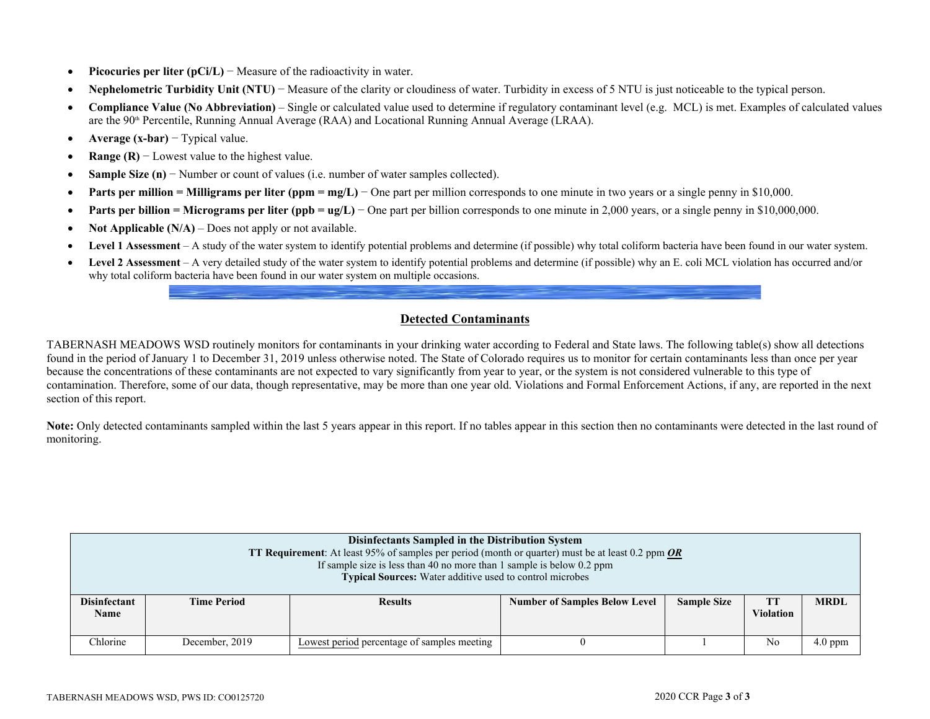- **Picocuries per liter (pCi/L)** − Measure of the radioactivity in water.
- **Nephelometric Turbidity Unit (NTU)** − Measure of the clarity or cloudiness of water. Turbidity in excess of 5 NTU is just noticeable to the typical person.
- **Compliance Value (No Abbreviation)** Single or calculated value used to determine if regulatory contaminant level (e.g. MCL) is met. Examples of calculated values are the 90<sup>th</sup> Percentile, Running Annual Average (RAA) and Locational Running Annual Average (LRAA).
- **Average (x-bar)** − Typical value.
- **Range (R)** − Lowest value to the highest value.
- **Sample Size (n)** − Number or count of values (i.e. number of water samples collected).
- **Parts per million = Milligrams per liter (ppm = mg/L)** One part per million corresponds to one minute in two years or a single penny in \$10,000.
- **Parts per billion = Micrograms per liter (ppb = ug/L)** One part per billion corresponds to one minute in 2,000 years, or a single penny in \$10,000,000.
- **Not Applicable**  $(N/A)$  Does not apply or not available.
- **Level 1 Assessment** A study of the water system to identify potential problems and determine (if possible) why total coliform bacteria have been found in our water system.
- **Level 2 Assessment** A very detailed study of the water system to identify potential problems and determine (if possible) why an E. coli MCL violation has occurred and/or why total coliform bacteria have been found in our water system on multiple occasions.

# **Detected Contaminants**

TABERNASH MEADOWS WSD routinely monitors for contaminants in your drinking water according to Federal and State laws. The following table(s) show all detections found in the period of January 1 to December 31, 2019 unless otherwise noted. The State of Colorado requires us to monitor for certain contaminants less than once per year because the concentrations of these contaminants are not expected to vary significantly from year to year, or the system is not considered vulnerable to this type of contamination. Therefore, some of our data, though representative, may be more than one year old. Violations and Formal Enforcement Actions, if any, are reported in the next section of this report.

Note: Only detected contaminants sampled within the last 5 years appear in this report. If no tables appear in this section then no contaminants were detected in the last round of monitoring.

| Disinfectants Sampled in the Distribution System<br><b>TT Requirement</b> : At least 95% of samples per period (month or quarter) must be at least 0.2 ppm $OR$<br>If sample size is less than 40 no more than 1 sample is below $0.2$ ppm<br>Typical Sources: Water additive used to control microbes |                    |                                                                                                                              |  |  |                |           |  |  |  |
|--------------------------------------------------------------------------------------------------------------------------------------------------------------------------------------------------------------------------------------------------------------------------------------------------------|--------------------|------------------------------------------------------------------------------------------------------------------------------|--|--|----------------|-----------|--|--|--|
| <b>Disinfectant</b><br><b>Name</b>                                                                                                                                                                                                                                                                     | <b>Time Period</b> | <b>TT</b><br><b>MRDL</b><br><b>Number of Samples Below Level</b><br><b>Sample Size</b><br><b>Results</b><br><b>Violation</b> |  |  |                |           |  |  |  |
| Chlorine                                                                                                                                                                                                                                                                                               | December, 2019     | Lowest period percentage of samples meeting                                                                                  |  |  | N <sub>0</sub> | $4.0$ ppm |  |  |  |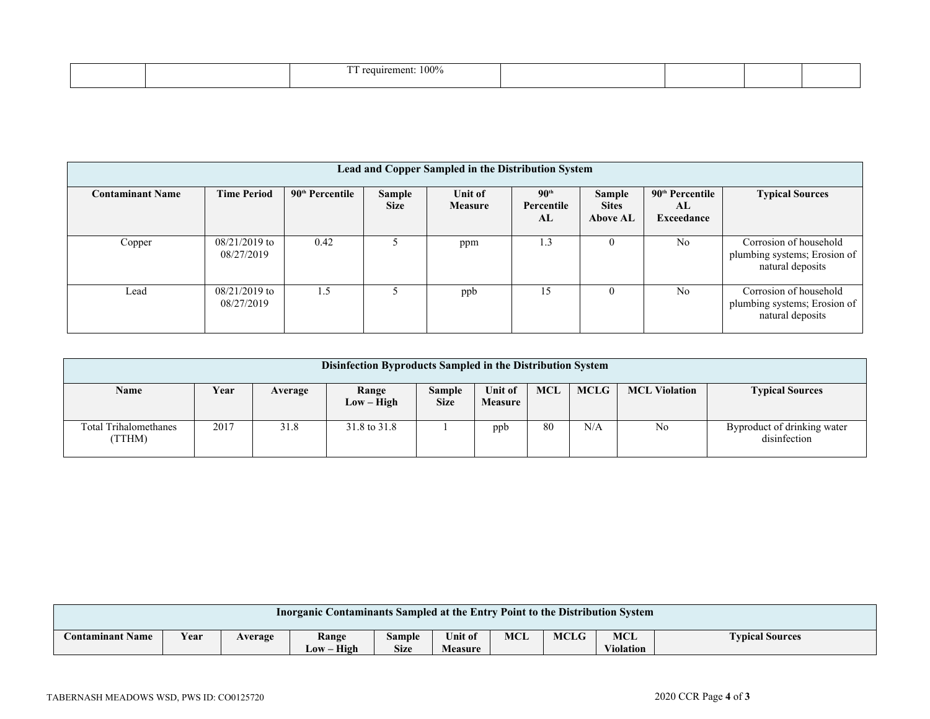| 100%<br>$\overline{\phantom{a}}$<br>remt |  |  |  |  |
|------------------------------------------|--|--|--|--|
|------------------------------------------|--|--|--|--|

| Lead and Copper Sampled in the Distribution System |                               |                             |                       |                           |                                      |                                                  |                                                 |                                                                            |  |  |  |
|----------------------------------------------------|-------------------------------|-----------------------------|-----------------------|---------------------------|--------------------------------------|--------------------------------------------------|-------------------------------------------------|----------------------------------------------------------------------------|--|--|--|
| <b>Contaminant Name</b>                            | <b>Time Period</b>            | 90 <sup>th</sup> Percentile | Sample<br><b>Size</b> | Unit of<br><b>Measure</b> | 90 <sup>th</sup><br>Percentile<br>AL | <b>Sample</b><br><b>Sites</b><br><b>Above AL</b> | 90 <sup>th</sup> Percentile<br>AL<br>Exceedance | <b>Typical Sources</b>                                                     |  |  |  |
| Copper                                             | $08/21/2019$ to<br>08/27/2019 | 0.42                        |                       | ppm                       | 1.3                                  | $\Omega$                                         | N <sub>0</sub>                                  | Corrosion of household<br>plumbing systems; Erosion of<br>natural deposits |  |  |  |
| Lead                                               | $08/21/2019$ to<br>08/27/2019 | . 5                         |                       | ppb                       | 15                                   | $\theta$                                         | N <sub>0</sub>                                  | Corrosion of household<br>plumbing systems; Erosion of<br>natural deposits |  |  |  |

| Disinfection Byproducts Sampled in the Distribution System |      |         |                       |                       |                                  |            |             |                      |                                             |
|------------------------------------------------------------|------|---------|-----------------------|-----------------------|----------------------------------|------------|-------------|----------------------|---------------------------------------------|
| <b>Name</b>                                                | Year | Average | Range<br>$Low - High$ | Sample<br><b>Size</b> | <b>Unit of</b><br><b>Measure</b> | <b>MCL</b> | <b>MCLG</b> | <b>MCL Violation</b> | <b>Typical Sources</b>                      |
| Total Trihalomethanes<br>(TTHM)                            | 2017 | 31.8    | 31.8 to 31.8          |                       | ppb                              | 80         | N/A         | No                   | Byproduct of drinking water<br>disinfection |

|                         | Inorganic Contaminants Sampled at the Entry Point to the Distribution System |         |                                 |                              |                    |            |             |                                |                        |
|-------------------------|------------------------------------------------------------------------------|---------|---------------------------------|------------------------------|--------------------|------------|-------------|--------------------------------|------------------------|
| <b>Contaminant Name</b> | Year                                                                         | Average | Range<br><b>High</b><br>$Low -$ | <b>Sample</b><br><b>Size</b> | Unit of<br>Measure | <b>MCL</b> | <b>MCLG</b> | <b>MCL</b><br><b>Violation</b> | <b>Typical Sources</b> |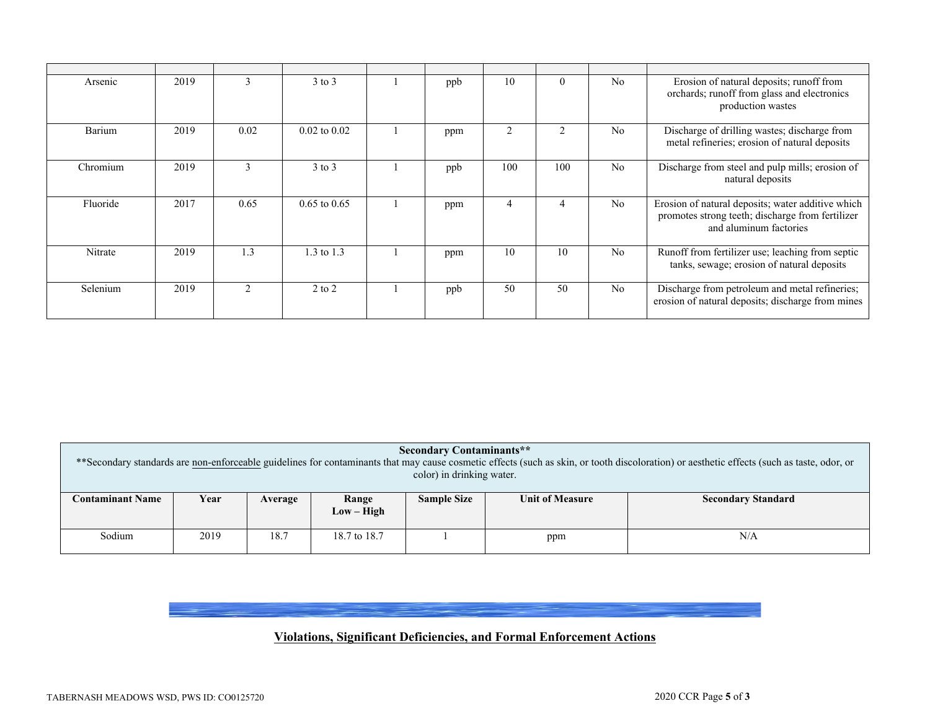| Arsenic  | 2019 | $\rightarrow$               | $3$ to $3$       | ppb | 10  | $\theta$ | No | Erosion of natural deposits; runoff from<br>orchards; runoff from glass and electronics<br>production wastes                    |
|----------|------|-----------------------------|------------------|-----|-----|----------|----|---------------------------------------------------------------------------------------------------------------------------------|
| Barium   | 2019 | 0.02                        | $0.02$ to $0.02$ | ppm | ∠   | ↑        | No | Discharge of drilling wastes; discharge from<br>metal refineries; erosion of natural deposits                                   |
| Chromium | 2019 | 3                           | $3$ to $3$       | ppb | 100 | 100      | No | Discharge from steel and pulp mills; erosion of<br>natural deposits                                                             |
| Fluoride | 2017 | 0.65                        | $0.65$ to $0.65$ | ppm | 4   | 4        | No | Erosion of natural deposits; water additive which<br>promotes strong teeth; discharge from fertilizer<br>and aluminum factories |
| Nitrate  | 2019 | 1.3                         | 1.3 to 1.3       | ppm | 10  | 10       | No | Runoff from fertilizer use; leaching from septic<br>tanks, sewage; erosion of natural deposits                                  |
| Selenium | 2019 | $\mathcal{D}_{\mathcal{L}}$ | 2 to 2           | ppb | 50  | 50       | No | Discharge from petroleum and metal refineries;<br>erosion of natural deposits; discharge from mines                             |

|                         |      |         |                       | <b>Secondary Contaminants**</b><br>color) in drinking water. |                        | ** Secondary standards are non-enforceable guidelines for contaminants that may cause cosmetic effects (such as skin, or tooth discoloration) or aesthetic effects (such as taste, odor, or |
|-------------------------|------|---------|-----------------------|--------------------------------------------------------------|------------------------|---------------------------------------------------------------------------------------------------------------------------------------------------------------------------------------------|
| <b>Contaminant Name</b> | Year | Average | Range<br>$Low - High$ | <b>Sample Size</b>                                           | <b>Unit of Measure</b> | <b>Secondary Standard</b>                                                                                                                                                                   |
| Sodium                  | 2019 | 18.7    | 18.7 to 18.7          |                                                              | ppm                    | N/A                                                                                                                                                                                         |

**Violations, Significant Deficiencies, and Formal Enforcement Actions**